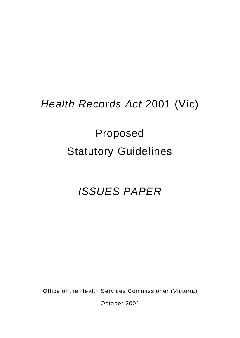## *Health Records Act* 2001 (Vic)

# Proposed Statutory Guidelines

## *ISSUES PAPER*

Office of the Health Services Commissioner (Victoria)

October 2001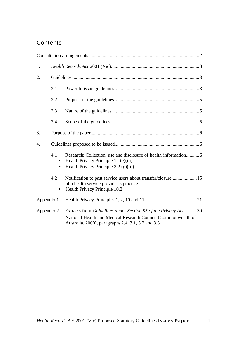## **Contents**

| 1.         |                  |                                                                                                                                                                                        |  |  |
|------------|------------------|----------------------------------------------------------------------------------------------------------------------------------------------------------------------------------------|--|--|
| 2.         |                  |                                                                                                                                                                                        |  |  |
|            | 2.1              |                                                                                                                                                                                        |  |  |
|            | 2.2              |                                                                                                                                                                                        |  |  |
|            | 2.3              |                                                                                                                                                                                        |  |  |
|            | 2.4              |                                                                                                                                                                                        |  |  |
| 3.         |                  |                                                                                                                                                                                        |  |  |
| 4.         |                  |                                                                                                                                                                                        |  |  |
|            | 4.1<br>$\bullet$ | Health Privacy Principle 1.1(e)(iii)<br>Health Privacy Principle $2.2$ (g)(iii)                                                                                                        |  |  |
|            | 4.2              | Notification to past service users about transfer/closure 15<br>of a health service provider's practice<br>Health Privacy Principle 10.2                                               |  |  |
| Appendix 1 |                  |                                                                                                                                                                                        |  |  |
| Appendix 2 |                  | Extracts from Guidelines under Section 95 of the Privacy Act 30<br>National Health and Medical Research Council (Commonwealth of<br>Australia, 2000), paragraphs 2.4, 3.1, 3.2 and 3.3 |  |  |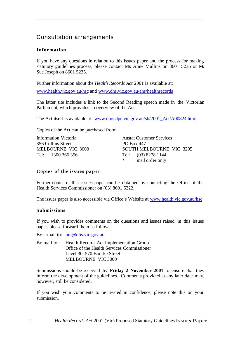## Consultation arrangements

#### **Information**

If you have any questions in relation to this issues paper and the process for making statutory guidelines process, please contact Ms Anne Mullins on 8601 5236 or Ms Sue Joseph on 8601 5235.

Further information about the *Health Records Act* 2001 is available at: www.health.vic.gov.au/hsc and www.dhs.vic.gov.au/ahs/healthrecords

The latter site includes a link to the Second Reading speech made in the Victorian Parliament, which provides an overview of the Act.

The Act itself is available at: www.dms.dpc.vic.gov.au/sb/2001\_Act/A00824.html

Copies of the Act can be purchased from:

Information Victoria 356 Collins Street MELBOURNE VIC 3000 Tel: 1300 366 356

Anstat Customer Services PO Box 447 SOUTH MELBOURNE VIC 3205 Tel: (03) 8278 1144 \* mail order only

#### **Copies of the issues paper**

Further copies of this issues paper can be obtained by contacting the Office of the Health Services Commissioner on (03) 8601 5222.

The issues paper is also accessible via Office's Website at www.health.vic.gov.au/hsc

#### **Submissions**

If you wish to provides comments on the questions and issues raised in this issues paper, please forward them as follows:

By e-mail to: hra@dhs.vic.gov.au

By mail to: Health Records Act Implementation Group Office of the Health Services Commissioner Level 30, 570 Bourke Street MELBOURNE VIC 3000

Submissions should be received by **Friday 2 November 2001** to ensure that they inform the development of the guidelines. Comments provided at any later date may, however, still be considered.

If you wish your comments to be treated in confidence, please note this on your submission.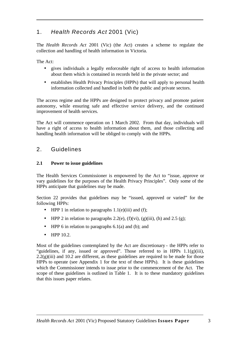## 1. *Health Records Act* 2001 (Vic)

The *Health Records Act* 2001 (Vic) (the Act) creates a scheme to regulate the collection and handling of health information in Victoria.

The Act:

- gives individuals a legally enforceable right of access to health information about them which is contained in records held in the private sector; and
- establishes Health Privacy Principles (HPPs) that will apply to personal health information collected and handled in both the public and private sectors.

The access regime and the HPPs are designed to protect privacy and promote patient autonomy, while ensuring safe and effective service delivery, and the continued improvement of health services.

The Act will commence operation on 1 March 2002. From that day, individuals will have a right of access to health information about them, and those collecting and handling health information will be obliged to comply with the HPPs.

## 2. Guidelines

#### **2.1 Power to issue guidelines**

The Health Services Commissioner is empowered by the Act to "issue, approve or vary guidelines for the purposes of the Health Privacy Principles". Only some of the HPPs anticipate that guidelines may be made.

Section 22 provides that guidelines may be "issued, approved or varied" for the following HPPs:

- HPP 1 in relation to paragraphs  $1.1(e)(iii)$  and (f);
- HPP 2 in relation to paragraphs 2.2(e),  $(f)(vi)$ ,  $(g)(iii)$ ,  $(h)$  and 2.5  $(g)$ ;
- HPP 6 in relation to paragraphs  $6.1(a)$  and (b); and
- HPP 10.2.

Most of the guidelines contemplated by the Act are discretionary - the HPPs refer to "guidelines, if any, issued or approved". Those referred to in HPPs  $1.1(g)(iii)$ ,  $2.2(g)(iii)$  and 10.2 are different, as these guidelines are required to be made for those HPPs to operate (see Appendix 1 for the text of these HPPs). It is these guidelines which the Commissioner intends to issue prior to the commencement of the Act. The scope of these guidelines is outlined in Table 1. It is to these mandatory guidelines that this issues paper relates.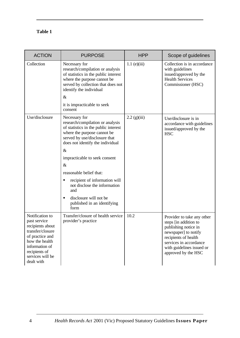### **Table 1**

| <b>ACTION</b>                                                                                                                                                                     | <b>PURPOSE</b>                                                                                                                                                                                                                   | <b>HPP</b>     | Scope of guidelines                                                                                                                                                                                       |
|-----------------------------------------------------------------------------------------------------------------------------------------------------------------------------------|----------------------------------------------------------------------------------------------------------------------------------------------------------------------------------------------------------------------------------|----------------|-----------------------------------------------------------------------------------------------------------------------------------------------------------------------------------------------------------|
| Collection                                                                                                                                                                        | Necessary for<br>research/compilation or analysis<br>of statistics in the public interest<br>where the purpose cannot be<br>served by collection that does not<br>identify the individual<br>$\&$<br>it is impracticable to seek | $1.1$ (e)(iii) | Collection is in accordance<br>with guidelines<br>issued/approved by the<br><b>Health Services</b><br>Commissioner (HSC)                                                                                  |
|                                                                                                                                                                                   | consent                                                                                                                                                                                                                          |                |                                                                                                                                                                                                           |
| Use/disclosure                                                                                                                                                                    | Necessary for<br>research/compilation or analysis<br>of statistics in the public interest<br>where the purpose cannot be<br>served by use/disclosure that<br>does not identify the individual                                    | $2.2$ (g)(iii) | Use/disclosure is in<br>accordance with guidelines<br>issued/approved by the<br><b>HSC</b>                                                                                                                |
|                                                                                                                                                                                   | $\&$                                                                                                                                                                                                                             |                |                                                                                                                                                                                                           |
|                                                                                                                                                                                   | impracticable to seek consent                                                                                                                                                                                                    |                |                                                                                                                                                                                                           |
|                                                                                                                                                                                   | $\&$                                                                                                                                                                                                                             |                |                                                                                                                                                                                                           |
|                                                                                                                                                                                   | reasonable belief that:                                                                                                                                                                                                          |                |                                                                                                                                                                                                           |
|                                                                                                                                                                                   | recipient of information will<br>п<br>not disclose the information<br>and                                                                                                                                                        |                |                                                                                                                                                                                                           |
|                                                                                                                                                                                   | disclosure will not be<br>٠<br>published in an identifying<br>form                                                                                                                                                               |                |                                                                                                                                                                                                           |
| Notification to<br>past service<br>recipients about<br>transfer/closure<br>of practice and<br>how the health<br>information of<br>recipients of<br>services will be<br>dealt with | Transfer/closure of health service<br>provider's practice                                                                                                                                                                        | 10.2           | Provider to take any other<br>steps [in addition to<br>publishing notice in<br>newspaper] to notify<br>recipients of health<br>services in accordance<br>with guidelines issued or<br>approved by the HSC |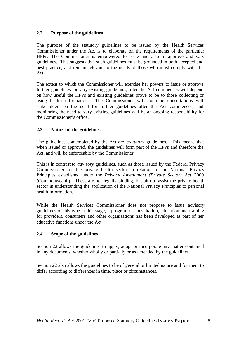#### **2.2 Purpose of the guidelines**

The purpose of the statutory guidelines to be issued by the Health Services Commissioner under the Act is to elaborate on the requirements of the particular HPPs. The Commissioner is empowered to issue and also to approve and vary guidelines. This suggests that such guidelines must be grounded in both accepted and best practice, and remain relevant to the needs of those who must comply with the Act.

The extent to which the Commissioner will exercise her powers to issue or approve further guidelines, or vary existing guidelines, after the Act commences will depend on how useful the HPPs and existing guidelines prove to be to those collecting or using health information. The Commissioner will continue consultations with stakeholders on the need for further guidelines after the Act commences, and monitoring the need to vary existing guidelines will be an ongoing responsibility for the Commissioner's office.

#### **2.3 Nature of the guidelines**

The guidelines contemplated by the Act are *statutory* guidelines. This means that when issued or approved, the guidelines will form part of the HPPs and therefore the Act, and will be enforceable by the Commissioner.

This is in contrast to *advisory* guidelines, such as those issued by the Federal Privacy Commissioner for the private health sector in relation to the National Privacy Principles established under the *Privacy Amendment (Private Sector) Act* 2000 (Commonwealth). These are not legally binding, but aim to assist the private health sector in understanding the application of the National Privacy Principles to personal health information.

While the Health Services Commissioner does not propose to issue advisory guidelines of this type at this stage, a program of consultation, education and training for providers, consumers and other organisations has been developed as part of her educative functions under the Act.

#### **2.4 Scope of the guidelines**

Section 22 allows the guidelines to apply, adopt or incorporate any matter contained in any documents, whether wholly or partially or as amended by the guidelines.

Section 22 also allows the guidelines to be of general or limited nature and for them to differ according to differences in time, place or circumstances.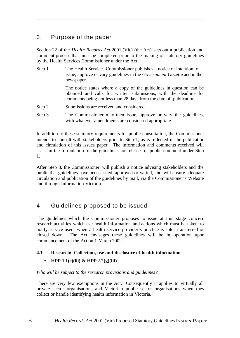## 3. Purpose of the paper

Section 22 of the *Health Records Act* 2001 (Vic) (the Act) sets out a publication and comment process that must be completed prior to the making of statutory guidelines by the Health Services Commissioner under the Act:

Step 1 The Health Services Commissioner publishes a notice of intention to issue, approve or vary guidelines in the *Government Gazette* and in the newspaper.

> The notice states where a copy of the guidelines in question can be obtained and calls for written submissions, with the deadline for comments being not less than 28 days from the date of publication.

- Step 2 Submissions are received and considered.
- Step 3 The Commissioner may then issue, approve or vary the guidelines, with whatever amendments are considered appropriate.

In addition to these statutory requirements for public consultation, the Commissioner intends to consult with stakeholders prior to Step 1, as is reflected in the publication and circulation of this issues paper. The information and comments received will assist in the formulation of the guidelines for release for public comment under Step 1.

After Step 3, the Commissioner will publish a notice advising stakeholders and the public that guidelines have been issued, approved or varied, and will ensure adequate circulation and publication of the guidelines by mail, via the Commissioner's Website and through Information Victoria.

## 4. Guidelines proposed to be issued

The guidelines which the Commissioner proposes to issue at this stage concern research activities which use health information, and actions which must be taken to notify service users when a health service provider's practice is sold, transferred or closed down. The Act envisages these guidelines will be in operation upon commencement of the Act on 1 March 2002.

#### **4.1 Research: Collection, use and disclosure of health information**

#### • **HPP 1.1(e)(iii) & HPP 2.2(g)(iii)**

*Who will be subject to the research provisions and guidelines?*

There are very few exemptions in the Act. Consequently it applies to virtually all private sector organisations and Victorian public sector organisations when they collect or handle identifying health information in Victoria.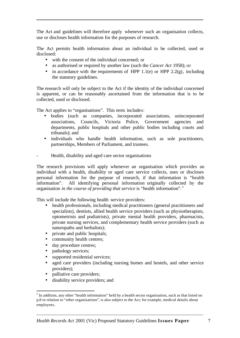The Act and guidelines will therefore apply whenever such an organisation collects, use or discloses health information for the purposes of research.

The Act permits health information about an individual to be collected, used or disclosed:

- with the consent of the individual concerned; or
- as authorised or required by another law (such the *Cancer Act* 1958); or
- in accordance with the requirements of HPP 1.1(e) or HPP 2.2(g), including the statutory guidelines.

The research will only be subject to the Act if the identity of the individual concerned is apparent, or can be reasonably ascertained from the information that is to be collected, used or disclosed.

The Act applies to "organisations". This term includes:

- bodies (such as companies, incorporated associations, unincorporated associations, Councils, Victoria Police, Government agencies and departments, public hospitals and other public bodies including courts and tribunals); and
- individuals who handle health information, such as sole practitioners, partnerships, Members of Parliament, and trustees.
- Health, disability and aged care sector organisations

The research provisions will apply whenever an organisation which provides an individual with a health, disability or aged care service collects, uses or discloses personal information for the purpose of research, if that information is "health information". All identifying personal information originally collected by the organisation *in the course of providing that service* is "health information".<sup>1</sup>

This will include the following health service providers:

- health professionals, including medical practitioners (general practitioners and specialists), dentists, allied health service providers (such as physiotherapists, optometrists and podiatrists), private mental health providers, pharmacists, private nursing services, and complementary health service providers (such as naturopaths and herbalists);
- private and public hospitals;
- community health centres;
- day procedure centres;
- pathology services;

l

- supported residential services;
- aged care providers (including nursing homes and hostels, and other service providers);
- palliative care providers;
- disability service providers; and

 $<sup>1</sup>$  In addition, any other "health information" held by a health sector organisation, such as that listed on</sup> p.8 in relation to "other organisations", is also subject to the Act; for example, medical details about employees.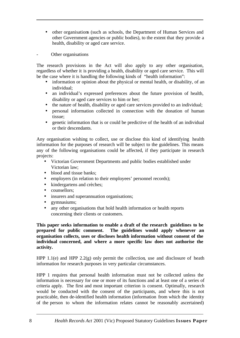- other organisations (such as schools, the Department of Human Services and other Government agencies or public bodies), to the extent that they provide a health, disability or aged care service.
- Other organisations

The research provisions in the Act will also apply to any other organisation, regardless of whether it is providing a health, disability or aged care service. This will be the case where it is handling the following kinds of "health information":

- information or opinion about the physical or mental health, or disability, of an individual;
- an individual's expressed preferences about the future provision of health, disability or aged care services to him or her;
- the nature of health, disability or aged care services provided to an individual;
- personal information collected in connection with the donation of human tissue;
- genetic information that is or could be predictive of the health of an individual or their descendants.

Any organisation wishing to collect, use or disclose this kind of identifying health information for the purposes of research will be subject to the guidelines. This means any of the following organisations could be affected, if they participate in research projects:

- Victorian Government Departments and public bodies established under Victorian law;
- blood and tissue banks:
- employers (in relation to their employees' personnel records);
- kindergartens and crèches;
- counsellors:
- insurers and superannuation organisations;
- gymnasiums;
- any other organisations that hold health information or health reports concerning their clients or customers.

**This paper seeks information to enable a draft of the research guidelines to be prepared for public comment. The guidelines would apply whenever an organisation collects, uses or discloses health information without consent of the individual concerned, and where a more specific law does not authorise the activity.**

HPP 1.1(e) and HPP 2.2(g) only permit the collection, use and disclosure of heath information for research purposes in very particular circumstances.

HPP 1 requires that personal health information must not be collected unless the information is necessary for one or more of its functions and at least one of a series of criteria apply. The first and most important criterion is consent. Optimally, research would be conducted with the consent of the participants, and where this is not practicable, then de-identified health information (information from which the identity of the person to whom the information relates cannot be reasonably ascertained)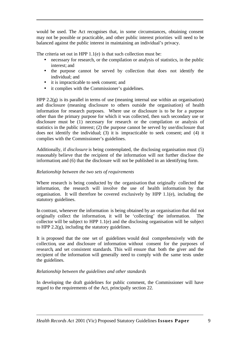would be used. The Act recognises that, in some circumstances, obtaining consent may not be possible or practicable, and other public interest priorities will need to be balanced against the public interest in maintaining an individual's privacy.

The criteria set out in HPP 1.1(e) is that such collection must be:

- necessary for research, or the compilation or analysis of statistics, in the public interest; and
- the purpose cannot be served by collection that does not identify the individual; and
- it is impracticable to seek consent; and
- it complies with the Commissioner's guidelines.

HPP 2.2(g) is its parallel in terms of use (meaning internal use within an organisation) and disclosure (meaning disclosure to others outside the organisation) of health information for research purposes. Where use or disclosure is to be for a purpose other than the primary purpose for which it was collected, then such secondary use or disclosure must be (1) necessary for research or the compilation or analysis of statistics in the public interest; (2) the purpose cannot be served by use/disclosure that does not identify the individual; (3) it is impracticable to seek consent; and (4) it complies with the Commissioner's guidelines.

Additionally, if *disclosure* is being contemplated, the disclosing organisation must (5) reasonably believe that the recipient of the information will not further disclose the information; and (6) that the disclosure will not be published in an identifying form.

#### *Relationship between the two sets of requirements*

Where research is being conducted by the organisation that originally collected the information, the research will involve the use of health information by that organisation. It will therefore be covered exclusively by HPP 1.1(e), including the statutory guidelines.

In contrast, whenever the information is being obtained by an organisation that did not originally collect the information, it will be 'collecting' the information. The collector will be subject to HPP 1.1(e) and the disclosing organisation will be subject to HPP  $2.2(g)$ , including the statutory guidelines.

It is proposed that the one set of guidelines would deal comprehensively with the collection, use and disclosure of information without consent for the purposes of research, and set consistent standards. This will ensure that both the giver and the recipient of the information will generally need to comply with the same tests under the guidelines.

#### *Relationship between the guidelines and other standards*

In developing the draft guidelines for public comment, the Commissioner will have regard to the requirements of the Act, principally section 22.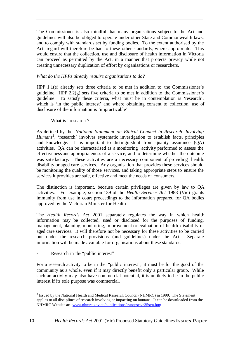The Commissioner is also mindful that many organisations subject to the Act and guidelines will also be obliged to operate under other State and Commonwealth laws, and to comply with standards set by funding bodies. To the extent authorised by the Act, regard will therefore be had to these other standards, where appropriate. This would ensure that the collection, use and disclosure of health information in Victoria can proceed as permitted by the Act, in a manner that protects privacy while not creating unnecessary duplication of effort by organisations or researchers.

#### *What do the HPPs already require organisations to do?*

HPP 1.1(e) already sets three criteria to be met in addition to the Commissioner's guideline. HPP 2.2(g) sets five criteria to be met in addition to the Commissioner's guideline. To satisfy these criteria, what must be in contemplation is 'research', which is 'in the public interest' and where obtaining consent to collection, use of disclosure of the information is 'impracticable'.

#### What is "research"?

As defined by the *National Statement on Ethical Conduct in Research Involving* Humans<sup>2</sup>, 'research' involves systematic investigation to establish facts, principles and knowledge. It is important to distinguish it from quality assurance (QA) activities. QA can be characterised as a monitoring activity performed to assess the effectiveness and appropriateness of a service, and to determine whether the outcome was satisfactory. These activities are a necessary component of providing health, disability or aged care services. Any organisation that provides these services should be monitoring the quality of those services, and taking appropriate steps to ensure the services it provides are safe, effective and meet the needs of consumers.

The distinction is important, because certain privileges are given by law to QA activities. For example, section 139 of the *Health Services Act* 1988 (Vic) grants immunity from use in court proceedings to the information prepared for QA bodies approved by the Victorian Minister for Health.

The *Health Records Act* 2001 separately regulates the way in which health information may be collected, used or disclosed for the purposes of funding, management, planning, monitoring, improvement or evaluation of health, disability or aged care services. It will therefore not be necessary for these activities to be carried out under the research provisions (and guidelines) under the Act. Separate information will be made available for organisations about these standards.

#### Research in the "public interest"

For a research activity to be in the "public interest", it must be for the good of the community as a whole, even if it may directly benefit only a particular group. While such an activity may also have commercial potential, it is unlikely to be in the public interest if its sole purpose was commercial.

l <sup>2</sup> Issued by the National Health and Medical Research Council (NHMRC) in 1999. The Statement applies to all disciplines of research involving or impacting on humans. It can be downloaded from the NHMRC Website at: www.nhmrc.gov.au/publications/synopses/e35syn.htm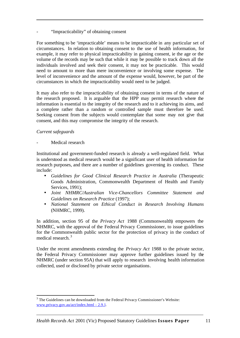"Impracticability" of obtaining consent

For something to be 'impracticable' means to be impracticable in any particular set of circumstances. In relation to obtaining consent to the use of health information, for example, it may refer to physical impracticability in gaining consent, ie the age or the volume of the records may be such that while it may be possible to track down all the individuals involved and seek their consent, it may not be practicable. This would need to amount to more than mere inconvenience or involving some expense. The level of inconvenience and the amount of the expense would, however, be part of the circumstances in which the impracticability would need to be judged.

It may also refer to the impracticability of obtaining consent in terms of the nature of the research proposed. It is arguable that the HPP may permit research where the information is essential to the integrity of the research and to it achieving its aims, and a complete rather than a random or controlled sample must therefore be used. Seeking consent from the subjects would contemplate that some may not give that consent, and this may compromise the integrity of the research.

#### *Current safeguards*

l

Medical research

Institutional and government-funded research is already a well-regulated field. What is understood as medical research would be a significant user of health information for research purposes, and there are a number of guidelines governing its conduct. These include:

- *Guidelines for Good Clinical Research Practice in Australia* (Therapeutic Goods Administration, Commonwealth Department of Health and Family Services, 1991);
- *Joint NHMRC/Australian Vice-Chancellors Committee Statement and Guidelines on Research Practice* (1997);
- *National Statement on Ethical Conduct in Research Involving Humans* (NHMRC, 1999).

In addition, section 95 of the *Privacy Act* 1988 (Commonwealth) empowers the NHMRC, with the approval of the Federal Privacy Commissioner, to issue guidelines for the Commonwealth public sector for the protection of privacy in the conduct of medical research. <sup>3</sup>

Under the recent amendments extending the *Privacy Act* 1988 to the private sector, the Federal Privacy Commissioner may approve further guidelines issued by the NHMRC (under section 95A) that will apply to research involving health information collected, used or disclosed by private sector organisations.

 $3$  The Guidelines can be downloaded from the Federal Privacy Commissioner's Website: www.privacy.gov.au/act/index.html - 2.9.1.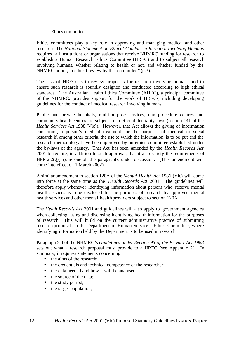#### Ethics committees

Ethics committees play a key role in approving and managing medical and other research. The *National Statement on Ethical Conduct in Research Involving Humans* requires "all institutions or organisations that receive NHMRC funding for research to establish a Human Research Ethics Committee (HREC) and to subject all research involving humans, whether relating to health or not, and whether funded by the NHMRC or not, to ethical review by that committee" (p.3).

The task of HRECs is to review proposals for research involving humans and to ensure such research is soundly designed and conducted according to high ethical standards. The Australian Health Ethics Committee (AHEC), a principal committee of the NHMRC, provides support for the work of HRECs, including developing guidelines for the conduct of medical research involving humans.

Public and private hospitals, multi-purpose services, day procedure centres and community health centres are subject to strict confidentiality laws (section 141 of the *Health Services Act* 1988 (Vic)). However, that Act allows the giving of information concerning a person's medical treatment for the purposes of medical or social research if, among other criteria, the use to which the information is to be put and the research methodology have been approved by an ethics committee established under the by-laws of the agency. That Act has been amended by the *Health Records Act* 2001 to require, in addition to such approval, that it also satisfy the requirements of HPP  $2.2(g)(iii)$ , ie one of the paragraphs under discussion. (This amendment will come into effect on 1 March 2002).

A similar amendment to section 120A of the *Mental Health Act* 1986 (Vic) will come into force at the same time as the *Health Records Act* 2001. The guidelines will therefore apply whenever identifying information about persons who receive mental health services is to be disclosed for the purposes of research by approved mental health services and other mental health providers subject to section 120A.

The *Heath Records Act* 2001 and guidelines will also apply to government agencies when collecting, using and disclosing identifying health information for the purposes of research. This will build on the current administrative practice of submitting research proposals to the Department of Human Service's Ethics Committee, where identifying information held by the Department is to be used in research.

Paragraph 2.4 of the NHMRC's *Guidelines under Section 95 of the Privacy Act 1988* sets out what a research proposal must provide to a HREC (see Appendix 2). In summary, it requires statements concerning:

- the aims of the research:
- the credentials and technical competence of the researcher;
- the data needed and how it will be analysed;
- the source of the data;
- the study period;
- the target population;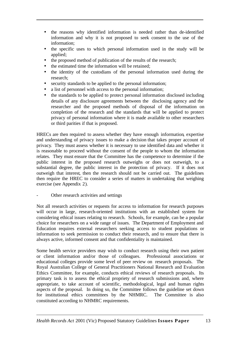- the reasons why identified information is needed rather than de-identified information and why it is not proposed to seek consent to the use of the information;
- the specific uses to which personal information used in the study will be applied;
- the proposed method of publication of the results of the research;
- the estimated time the information will be retained;
- the identity of the custodians of the personal information used during the research;
- security standards to be applied to the personal information;
- a list of personnel with access to the personal information;
- the standards to be applied to protect personal information disclosed including details of any disclosure agreements between the disclosing agency and the researcher and the proposed methods of disposal of the information on completion of the research and the standards that will be applied to protect privacy of personal information where it is made available to other researchers or third parities if that is proposed.

HRECs are then required to assess whether they have enough information, expertise and understanding of privacy issues to make a decision that takes proper account of privacy. They must assess whether it is necessary to use identified data and whether it is reasonable to proceed without the consent of the people to whom the information relates. They must ensure that the Committee has the competence to determine if the public interest in the proposed research outweighs or does not outweigh, to a substantial degree, the public interest in the protection of privacy. If it does not outweigh that interest, then the research should not be carried out. The guidelines then require the HREC to consider a series of matters in undertaking that weighing exercise (see Appendix 2).

Other research activities and settings

Not all research activities or requests for access to information for research purposes will occur in large, research-oriented institutions with an established system for considering ethical issues relating to research. Schools, for example, can be a popular choice for researchers on a wide range of issues. The Department of Employment and Education requires external researchers seeking access to student populations or information to seek permission to conduct their research, and to ensure that there is always active, informed consent and that confidentiality is maintained.

Some health service providers may wish to conduct research using their own patient or client information and/or those of colleagues. Professional associations or educational colleges provide some level of peer review on research proposals. The Royal Australian College of General Practitioners National Research and Evaluation Ethics Committee, for example, conducts ethical reviews of research proposals. Its primary task is to assess the ethical propriety of research submissions and, where appropriate, to take account of scientific, methodological, legal and human rights aspects of the proposal. In doing so, the Committee follows the guideline set down for institutional ethics committees by the NHMRC. The Committee is also constituted according to NHMRC requirements.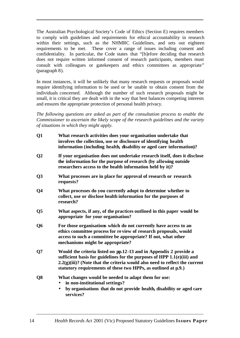The Australian Psychological Society's Code of Ethics (Section E) requires members to comply with guidelines and requirements for ethical accountability in research within their settings, such as the NHMRC Guidelines, and sets out eighteen requirements to be met. These cover a range of issues including consent and confidentiality. In particular, the Code states that "[b]efore deciding that research does not require written informed consent of research participants, members must consult with colleagues or gatekeepers and ethics committees as appropriate" (paragraph 8).

In most instances, it will be unlikely that many research requests or proposals would require identifying information to be used or be unable to obtain consent from the individuals concerned. Although the number of such research proposals might be small, it is critical they are dealt with in the way that best balances competing interests and ensures the appropriate protection of personal health privacy.

*The following questions are asked as part of the consultation process to enable the Commissioner to ascertain the likely scope of the research guidelines and the variety of situations in which they might apply.*

- **Q1 What research activities does your organisation undertake that involves the collection, use or disclosure of identifying health information (including health, disability or aged care information)?**
- **Q2 If your organisation does not undertake research itself, does it disclose the information for the purpose of research (by allowing outside researchers access to the health information held by it)?**
- **Q3 What processes are in place for approval of research or research requests?**
- **Q4 What processes do you currently adopt to determine whether to collect, use or disclose health information for the purposes of research?**
- **Q5 What aspects, if any, of the practices outlined in this paper would be appropriate for your organisation?**
- **Q6 For those organisations which do not currently have access to an ethics committee process for review of research proposals, would access to such a committee be appropriate? If not, what other mechanisms might be appropriate?**
- **Q7 Would the criteria listed on pp.12-13 and in Appendix 2 provide a sufficient basis for guidelines for the purposes of HPP 1.1(e)(iii) and 2.2(g)(iii)? (Note that the criteria would also need to reflect the current statutory requirements of these two HPPs, as outlined at p.9.)**
- **Q8 What changes would be needed to adapt them for use:**
	- **in non-institutional settings?**
	- **by organisations that do not provide health, disability or aged care services?**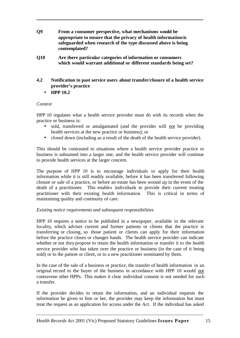- **Q9 From a consumer perspective, what mechanisms would be appropriate to ensure that the privacy of health information is safeguarded when research of the type discussed above is being contemplated?**
- **Q10 Are there particular categories of information or consumers which would warrant additional or different standards being set?**
- **4.2 Notification to past service users about transfer/closure of a health service provider's practice**
	- **HPP 10.2**

#### *Context*

HPP 10 regulates what a health service provider must do with its records when the practice or business is:

- sold, transferred or amalgamated (and the provider will not be providing health services at the new practice or business); or
- closed down (including as a result of the death of the health service provider).

This should be contrasted to situations where a health service provider practice or business is subsumed into a larger one, and the health service provider will continue to provide health services at the larger concern.

The purpose of HPP 10 is to encourage individuals to apply for their health information while it is still readily available, before it has been transferred following closure or sale of a practice, or before an estate has been wound up in the event of the death of a practitioner. This enables individuals to provide their current treating practitioner with their existing health information. This is critical in terms of maintaining quality and continuity of care.

#### *Existing notice requirements and subsequent responsibilities*

HPP 10 requires a notice to be published in a newspaper, available in the relevant locality, which advises current and former patients or clients that the practice is transferring or closing, so those patient or clients can apply for their information before the practice closes or changes hands. The health service provider can indicate whether or not they propose to retain the health information or transfer it to the health service provider who has taken over the practice or business (in the case of it being sold) or to the patient or client, or to a new practitioner nominated by them.

In the case of the sale of a business or practice, the transfer of health information in an original record to the buyer of the business in accordance with HPP 10 would not contravene other HPPs. This makes it clear individual consent is not needed for such a transfer.

If the provider decides to retain the information, and an individual requests the information be given to him or her, the provider may keep the information but must treat the request as an application for access under the Act. If the individual has asked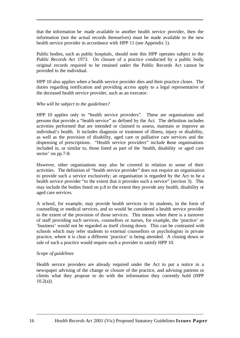that the information be made available to another health service provider, then the information (not the actual records themselves) must be made available to the new health service provider in accordance with HPP 11 (see Appendix 1).

Public bodies, such as public hospitals, should note this HPP operates subject to the *Public Records Act* 1973. On closure of a practice conducted by a public body, original records required to be retained under the Public Records Act cannot be provided to the individual.

HPP 10 also applies when a health service provider dies and their practice closes. The duties regarding notification and providing access apply to a legal representative of the deceased health service provider, such as an executor.

#### *Who will be subject to the guidelines?*

HPP 10 applies only to "health service providers". These are organisations and persons that provide a "health service" as defined by the Act. The definition includes activities performed that are intended or claimed to assess, maintain or improve an individual's health. It includes diagnosis or treatment of illness, injury or disability, as well as the provision of disability, aged care or palliative care services and the dispensing of prescriptions. "Health service providers" include those organisations included in, or similar to, those listed as part of the 'health, disability or aged care sector' on pp.7-8.

However, other organisations may also be covered in relation to some of their activities. The definition of "health service provider" does not require an organisation to provide such a service exclusively; an organisation is regarded by the Act to be a health service provider "to the extent that it provides such a service" (section 3). This may include the bodies listed on p.8 to the extent they provide any health, disability or aged care services.

A school, for example, may provide health services to its students, in the form of counselling or medical services, and so would be considered a health service provider to the extent of the provision of those services. This means when there is a turnover of staff providing such services, counsellors or nurses, for example, the 'practice' or 'business' would not be regarded as itself closing down. This can be contrasted with schools which may refer students to external counsellors or psychologists in private practice, where it is clear a different 'practice' is being attended. A closing down or sale of such a practice would require such a provider to satisfy HPP 10.

#### *Scope of guidelines*

Health service providers are already required under the Act to put a notice in a newspaper advising of the change or closure of the practice, and advising patients or clients what they propose to do with the information they currently hold (HPP  $10.2(a)$ ).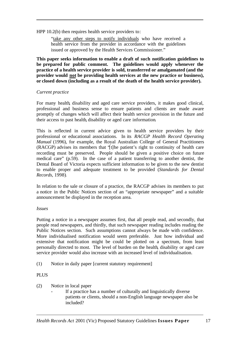HPP 10.2(b) then requires health service providers to:

"take any other steps to notify individuals who have received a health service from the provider in accordance with the guidelines issued or approved by the Health Services Commissioner."

**This paper seeks information to enable a draft of such notification guidelines to be prepared for public comment. The guidelines would apply whenever the practice of a health service provider is sold, transferred or amalgamated (and the provider would not be providing health services at the new practice or business), or closed down (including as a result of the death of the health service provider).**

#### *Current practice*

For many health, disability and aged care service providers, it makes good clinical, professional and business sense to ensure patients and clients are made aware promptly of changes which will affect their health service provision in the future and their access to past health, disability or aged care information.

This is reflected in current advice given to health service providers by their professional or educational associations. In its *RACGP Health Record Operating Manual* (1996), for example, the Royal Australian College of General Practitioners (RACGP) advises its members that "[t]he patient's right to continuity of health care recording must be preserved. People should be given a positive choice on future medical care" (p.59). In the case of a patient transferring to another dentist, the Dental Board of Victoria expects sufficient information to be given to the new dentist to enable proper and adequate treatment to be provided (*Standards for Dental Records*, 1998).

In relation to the sale or closure of a practice, the RACGP advises its members to put a notice in the Public Notices section of an "appropriate newspaper" and a suitable announcement be displayed in the reception area.

#### *Issues*

Putting a notice in a newspaper assumes first, that all people read, and secondly, that people read newspapers, and thirdly, that such newspaper reading includes reading the Public Notices section. Such assumptions cannot always be made with confidence. More individualised notification would seem preferable. Just how individual and extensive that notification might be could be plotted on a spectrum, from least personally directed to most. The level of burden on the health, disability or aged care service provider would also increase with an increased level of individualisation.

(1) Notice in daily paper [current statutory requirement]

#### PLUS

- (2) Notice in local paper
	- If a practice has a number of culturally and linguistically diverse patients or clients, should a non-English language newspaper also be included?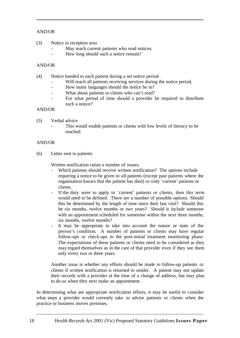#### AND/OR

- (3) Notice in reception area
	- May reach current patients who read notices.
	- How long should such a notice remain?

#### AND/OR

- (4) Notice handed to each patient during a set notice period
	- Will reach all patients receiving services during the notice period.
	- How many languages should the notice be in?
	- What about patients or clients who can't read?
	- For what period of time should a provider be required to distribute such a notice?

#### AND/OR

- (5) Verbal advice
	- **-** This would enable patients or clients with low levels of literacy to be reached.

#### AND/OR

(6) Letter sent to patients

Written notification raises a number of issues.

- Which patients should receive written notification? The options include requiring a notice to be given to all patients (except past patients where the organisation knows that the patient has died) or only 'current' patients or clients.
- If the duty were to apply to 'current' patients or clients, then this term would need to be defined. There are a number of possible options. Should this be determined by the length of time since their last visit? Should this be six months, twelve months or two years? Should it include someone with an appointment scheduled for sometime within the next three months, six months, twelve months?
- It may be appropriate to take into account the nature or state of the person's condition. A number of patients or clients may have regular follow-ups or check-ups in the post-initial treatment monitoring phase. The expectations of these patients or clients need to be considered as they may regard themselves as in the care of that provider even if they see them only every two or three years.

Another issue is whether any efforts should be made to follow-up patients or clients if written notification is returned to sender. A patient may not update their records with a provider at the time of a change of address, but may plan to do so when they next make an appointment.

In determining what are appropriate notification efforts, it may be useful to consider what steps a provider would currently take to advise patients or clients when the practice or business moves premises.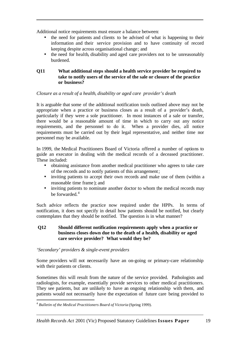Additional notice requirements must ensure a balance between:

- the need for patients and clients to be advised of what is happening to their information and their service provision and to have continuity of record keeping despite across organisational change; and
- the need for health, disability and aged care providers not to be unreasonably burdened.

#### **Q11 What additional steps should a health service provider be required to take to notify users of the service of the sale or closure of the practice or business?**

*Closure as a result of a health, disability or aged care provider's death*

It is arguable that some of the additional notification tools outlined above may not be appropriate when a practice or business closes as a result of a provider's death, particularly if they were a sole practitioner. In most instances of a sale or transfer, there would be a reasonable amount of time in which to carry out any notice requirements, and the personnel to do it. When a provider dies, all notice requirements must be carried out by their legal representative, and neither time nor personnel may be available.

In 1999, the Medical Practitioners Board of Victoria offered a number of options to guide an executor in dealing with the medical records of a deceased practitioner. These included:

- obtaining assistance from another medical practitioner who agrees to take care of the records and to notify patients of this arrangement;
- inviting patients to accept their own records and make use of them (within a reasonable time frame ); and
- inviting patients to nominate another doctor to whom the medical records may be forwarded.<sup>4</sup>

Such advice reflects the practice now required under the HPPs. In terms of notification, it does not specify in detail how patients should be notified, but clearly contemplates that they should be notified. The question is in what manner?

#### **Q12 Should different notification requirements apply when a practice or business closes down due to the death of a health, disability or aged care service provider? What would they be?**

#### *'Secondary' providers & single-event providers*

Some providers will not necessarily have an on-going or primary-care relationship with their patients or clients.

Sometimes this will result from the nature of the service provided. Pathologists and radiologists, for example, essentially provide services to other medical practitioners. They see patients, but are unlikely to have an ongoing relationship with them, and patients would not necessarily have the expectation of future care being provided to

<sup>&</sup>lt;sup>4</sup><br><sup>4</sup> Bulletin of the Medical Practitioners Board of Victoria (Spring 1999).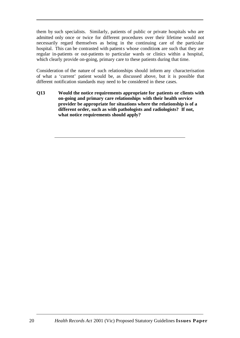them by such specialists. Similarly, patients of public or private hospitals who are admitted only once or twice for different procedures over their lifetime would not necessarily regard themselves as being in the continuing care of the particular hospital. This can be contrasted with patients whose conditions are such that they are regular in-patients or out-patients to particular wards or clinics within a hospital, which clearly provide on-going, primary care to these patients during that time.

Consideration of the nature of such relationships should inform any characterisation of what a 'current' patient would be, as discussed above, but it is possible that different notification standards may need to be considered in these cases.

**Q13 Would the notice requirements appropriate for patients or clients with on-going and primary care relationships with their health service provider be appropriate for situations where the relationship is of a different order, such as with pathologists and radiologists? If not, what notice requirements should apply?**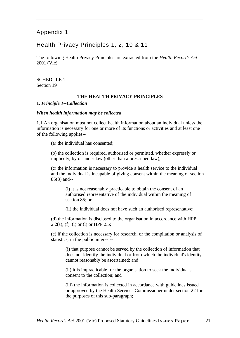## Appendix 1

## Health Privacy Principles 1, 2, 10 & 11

The following Health Privacy Principles are extracted from the *Health Records Act* 2001 (Vic).

SCHEDULE 1 Section 19

#### **THE HEALTH PRIVACY PRINCIPLES**

#### **1.** *Principle 1--Collection*

#### *When health information may be collected*

1.1 An organisation must not collect health information about an individual unless the information is necessary for one or more of its functions or activities and at least one of the following applies--

(a) the individual has consented;

(b) the collection is required, authorised or permitted, whether expressly or impliedly, by or under law (other than a prescribed law);

(c) the information is necessary to provide a health service to the individual and the individual is incapable of giving consent within the meaning of section 85(3) and--

(i) it is not reasonably practicable to obtain the consent of an authorised representative of the individual within the meaning of section 85; or

(ii) the individual does not have such an authorised representative;

(d) the information is disclosed to the organisation in accordance with HPP 2.2(a), (f), (i) or (l) or HPP 2.5;

(e) if the collection is necessary for research, or the compilation or analysis of statistics, in the public interest--

(i) that purpose cannot be served by the collection of information that does not identify the individual or from which the individual's identity cannot reasonably be ascertained; and

(ii) it is impracticable for the organisation to seek the individual's consent to the collection; and

(iii) the information is collected in accordance with guidelines issued or approved by the Health Services Commissioner under section 22 for the purposes of this sub-paragraph;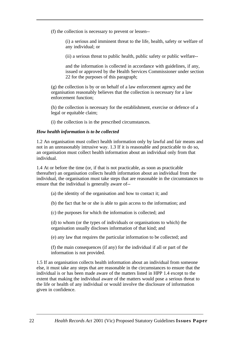(f) the collection is necessary to prevent or lessen--

(i) a serious and imminent threat to the life, health, safety or welfare of any individual; or

(ii) a serious threat to public health, public safety or public welfare--

and the information is collected in accordance with guidelines, if any, issued or approved by the Health Services Commissioner under section 22 for the purposes of this paragraph;

(g) the collection is by or on behalf of a law enforcement agency and the organisation reasonably believes that the collection is necessary for a law enforcement function;

(h) the collection is necessary for the establishment, exercise or defence of a legal or equitable claim;

(i) the collection is in the prescribed circumstances.

#### *How health information is to be collected*

1.2 An organisation must collect health information only by lawful and fair means and not in an unreasonably intrusive way. 1.3 If it is reasonable and practicable to do so, an organisation must collect health information about an individual only from that individual.

1.4 At or before the time (or, if that is not practicable, as soon as practicable thereafter) an organisation collects health information about an individual from the individual, the organisation must take steps that are reasonable in the circumstances to ensure that the individual is generally aware of--

- (a) the identity of the organisation and how to contact it; and
- (b) the fact that he or she is able to gain access to the information; and
- (c) the purposes for which the information is collected; and

(d) to whom (or the types of individuals or organisations to which) the organisation usually discloses information of that kind; and

(e) any law that requires the particular information to be collected; and

(f) the main consequences (if any) for the individual if all or part of the information is not provided.

1.5 If an organisation collects health information about an individual from someone else, it must take any steps that are reasonable in the circumstances to ensure that the individual is or has been made aware of the matters listed in HPP 1.4 except to the extent that making the individual aware of the matters would pose a serious threat to the life or health of any individual or would involve the disclosure of information given in confidence.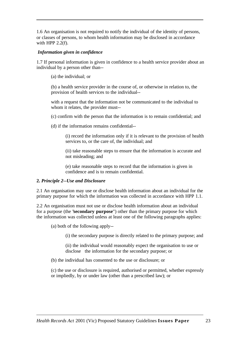1.6 An organisation is not required to notify the individual of the identity of persons, or classes of persons, to whom health information may be disclosed in accordance with HPP  $2.2(f)$ .

#### *Information given in confidence*

1.7 If personal information is given in confidence to a health service provider about an individual by a person other than--

(a) the individual; or

(b) a health service provider in the course of, or otherwise in relation to, the provision of health services to the individual--

with a request that the information not be communicated to the individual to whom it relates, the provider must--

- (c) confirm with the person that the information is to remain confidential; and
- (d) if the information remains confidential--

(i) record the information only if it is relevant to the provision of health services to, or the care of, the individual; and

(ii) take reasonable steps to ensure that the information is accurate and not misleading; and

(e) take reasonable steps to record that the information is given in confidence and is to remain confidential.

#### **2.** *Principle 2--Use and Disclosure*

2.1 An organisation may use or disclose health information about an individual for the primary purpose for which the information was collected in accordance with HPP 1.1.

2.2 An organisation must not use or disclose health information about an individual for a purpose (the "**secondary purpose**") other than the primary purpose for which the information was collected unless at least one of the following paragraphs applies:

(a) both of the following apply--

(i) the secondary purpose is directly related to the primary purpose; and

(ii) the individual would reasonably expect the organisation to use or disclose the information for the secondary purpose; or

(b) the individual has consented to the use or disclosure; or

(c) the use or disclosure is required, authorised or permitted, whether expressly or impliedly, by or under law (other than a prescribed law); or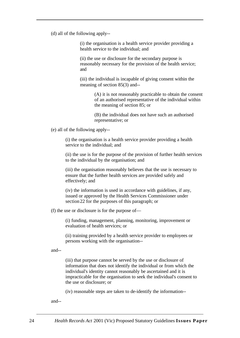(d) all of the following apply--

(i) the organisation is a health service provider providing a health service to the individual; and

(ii) the use or disclosure for the secondary purpose is reasonably necessary for the provision of the health service; and

(iii) the individual is incapable of giving consent within the meaning of section 85(3) and--

> (A) it is not reasonably practicable to obtain the consent of an authorised representative of the individual within the meaning of section 85; or

(B) the individual does not have such an authorised representative; or

(e) all of the following apply--

(i) the organisation is a health service provider providing a health service to the individual; and

(ii) the use is for the purpose of the provision of further health services to the individual by the organisation; and

(iii) the organisation reasonably believes that the use is necessary to ensure that the further health services are provided safely and effectively; and

(iv) the information is used in accordance with guidelines, if any, issued or approved by the Health Services Commissioner under section 22 for the purposes of this paragraph; or

(f) the use or disclosure is for the purpose of—

(i) funding, management, planning, monitoring, improvement or evaluation of health services; or

(ii) training provided by a health service provider to employees or persons working with the organisation--

and--

(iii) that purpose cannot be served by the use or disclosure of information that does not identify the individual or from which the individual's identity cannot reasonably be ascertained and it is impracticable for the organisation to seek the individual's consent to the use or disclosure; or

(iv) reasonable steps are taken to de-identify the information--

and--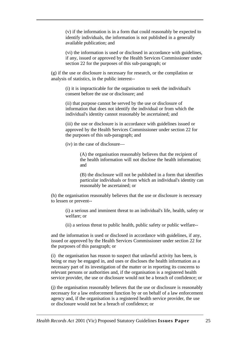(v) if the information is in a form that could reasonably be expected to identify individuals, the information is not published in a generally available publication; and

(vi) the information is used or disclosed in accordance with guidelines, if any, issued or approved by the Health Services Commissioner under section 22 for the purposes of this sub-paragraph; or

(g) if the use or disclosure is necessary for research, or the compilation or analysis of statistics, in the public interest--

> (i) it is impracticable for the organisation to seek the individual's consent before the use or disclosure; and

(ii) that purpose cannot be served by the use or disclosure of information that does not identify the individual or from which the individual's identity cannot reasonably be ascertained; and

(iii) the use or disclosure is in accordance with guidelines issued or approved by the Health Services Commissioner under section 22 for the purposes of this sub-paragraph; and

(iv) in the case of disclosure—

(A) the organisation reasonably believes that the recipient of the health information will not disclose the health information; and

(B) the disclosure will not be published in a form that identifies particular individuals or from which an individual's identity can reasonably be ascertained; or

(h) the organisation reasonably believes that the use or disclosure is necessary to lessen or prevent--

(i) a serious and imminent threat to an individual's life, health, safety or welfare; or

(ii) a serious threat to public health, public safety or public welfare--

and the information is used or disclosed in accordance with guidelines, if any, issued or approved by the Health Services Commissioner under section 22 for the purposes of this paragraph; or

(i) the organisation has reason to suspect that unlawful activity has been, is being or may be engaged in, and uses or discloses the health information as a necessary part of its investigation of the matter or in reporting its concerns to relevant persons or authorities and, if the organisation is a registered health service provider, the use or disclosure would not be a breach of confidence; or

(j) the organisation reasonably believes that the use or disclosure is reasonably necessary for a law enforcement function by or on behalf of a law enforcement agency and, if the organisation is a registered health service provider, the use or disclosure would not be a breach of confidence; or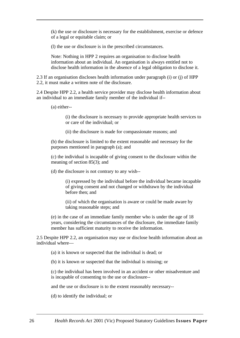(k) the use or disclosure is necessary for the establishment, exercise or defence of a legal or equitable claim; or

(l) the use or disclosure is in the prescribed circumstances.

Note: Nothing in HPP 2 requires an organisation to disclose health information about an individual. An organisation is always entitled not to disclose health information in the absence of a legal obligation to disclose it.

2.3 If an organisation discloses health information under paragraph (i) or (j) of HPP 2.2, it must make a written note of the disclosure.

2.4 Despite HPP 2.2, a health service provider may disclose health information about an individual to an immediate family member of the individual if--

(a) either--

(i) the disclosure is necessary to provide appropriate health services to or care of the individual; or

(ii) the disclosure is made for compassionate reasons; and

(b) the disclosure is limited to the extent reasonable and necessary for the purposes mentioned in paragraph (a); and

(c) the individual is incapable of giving consent to the disclosure within the meaning of section 85(3); and

(d) the disclosure is not contrary to any wish--

(i) expressed by the individual before the individual became incapable of giving consent and not changed or withdrawn by the individual before then; and

(ii) of which the organisation is aware or could be made aware by taking reasonable steps; and

(e) in the case of an immediate family member who is under the age of 18 years, considering the circumstances of the disclosure, the immediate family member has sufficient maturity to receive the information.

2.5 Despite HPP 2.2, an organisation may use or disclose health information about an individual where—

(a) it is known or suspected that the individual is dead; or

(b) it is known or suspected that the individual is missing; or

(c) the individual has been involved in an accident or other misadventure and is incapable of consenting to the use or disclosure--

and the use or disclosure is to the extent reasonably necessary--

(d) to identify the individual; or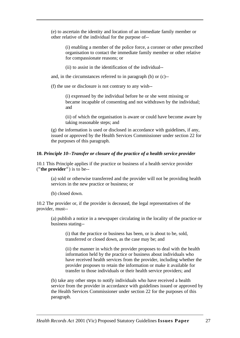(e) to ascertain the identity and location of an immediate family member or other relative of the individual for the purpose of--

(i) enabling a member of the police force, a coroner or other prescribed organisation to contact the immediate family member or other relative for compassionate reasons; or

(ii) to assist in the identification of the individual--

and, in the circumstances referred to in paragraph (b) or (c)--

(f) the use or disclosure is not contrary to any wish--

(i) expressed by the individual before he or she went missing or became incapable of consenting and not withdrawn by the individual; and

(ii) of which the organisation is aware or could have become aware by taking reasonable steps; and

(g) the information is used or disclosed in accordance with guidelines, if any, issued or approved by the Health Services Commissioner under section 22 for the purposes of this paragraph.

#### **10.** *Principle 10--Transfer or closure of the practice of a health service provider*

10.1 This Principle applies if the practice or business of a health service provider (**"the provider"**) is to be--

(a) sold or otherwise transferred and the provider will not be providing health services in the new practice or business; or

(b) closed down.

10.2 The provider or, if the provider is deceased, the legal representatives of the provider, must--

(a) publish a notice in a newspaper circulating in the locality of the practice or business stating--

(i) that the practice or business has been, or is about to be, sold, transferred or closed down, as the case may be; and

(ii) the manner in which the provider proposes to deal with the health information held by the practice or business about individuals who have received health services from the provider, including whether the provider proposes to retain the information or make it available for transfer to those individuals or their health service providers; and

(b) take any other steps to notify individuals who have received a health service from the provider in accordance with guidelines issued or approved by the Health Services Commissioner under section 22 for the purposes of this paragraph.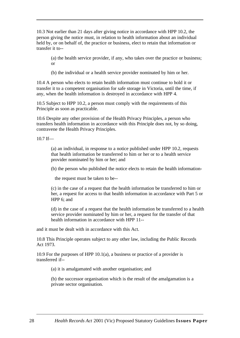10.3 Not earlier than 21 days after giving notice in accordance with HPP 10.2, the person giving the notice must, in relation to health information about an individual held by, or on behalf of, the practice or business, elect to retain that information or transfer it to--

(a) the health service provider, if any, who takes over the practice or business; or

(b) the individual or a health service provider nominated by him or her.

10.4 A person who elects to retain health information must continue to hold it or transfer it to a competent organisation for safe storage in Victoria, until the time, if any, when the health information is destroyed in accordance with HPP 4.

10.5 Subject to HPP 10.2, a person must comply with the requirements of this Principle as soon as practicable.

10.6 Despite any other provision of the Health Privacy Principles, a person who transfers health information in accordance with this Principle does not, by so doing, contravene the Health Privacy Principles.

10.7 If—

(a) an individual, in response to a notice published under HPP 10.2, requests that health information be transferred to him or her or to a health service provider nominated by him or her; and

(b) the person who published the notice elects to retain the health information-

the request must be taken to be--

(c) in the case of a request that the health information be transferred to him or her, a request for access to that health information in accordance with Part 5 or HPP 6; and

(d) in the case of a request that the health information be transferred to a health service provider nominated by him or her, a request for the transfer of that health information in accordance with HPP 11--

and it must be dealt with in accordance with this Act.

10.8 This Principle operates subject to any other law, including the Public Records Act 1973.

10.9 For the purposes of HPP 10.1(a), a business or practice of a provider is transferred if--

(a) it is amalgamated with another organisation; and

(b) the successor organisation which is the result of the amalgamation is a private sector organisation.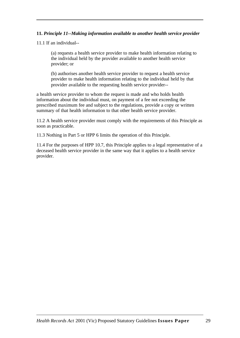#### **11.** *Principle 11--Making information available to another health service provider*

11.1 If an individual--

(a) requests a health service provider to make health information relating to the individual held by the provider available to another health service provider; or

(b) authorises another health service provider to request a health service provider to make health information relating to the individual held by that provider available to the requesting health service provider--

a health service provider to whom the request is made and who holds health information about the individual must, on payment of a fee not exceeding the prescribed maximum fee and subject to the regulations, provide a copy or written summary of that health information to that other health service provider.

11.2 A health service provider must comply with the requirements of this Principle as soon as practicable.

11.3 Nothing in Part 5 or HPP 6 limits the operation of this Principle.

11.4 For the purposes of HPP 10.7, this Principle applies to a legal representative of a deceased health service provider in the same way that it applies to a health service provider.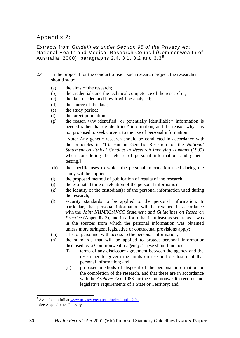## Appendix 2:

Extracts from *Guidelines under Section 95 of the Privacy Act*, National Health and Medical Research Council (Commonwealth of Australia, 2000), paragraphs 2.4, 3.1, 3.2 and  $3.3<sup>5</sup>$ 

- 2.4 In the proposal for the conduct of each such research project, the researcher should state:
	- (a) the aims of the research;
	- (b) the credentials and the technical competence of the researcher;
	- (c) the data needed and how it will be analysed;
	- (d) the source of the data;
	- (e) the study period;
	- (f) the target population;
	- $(g)$  the reason why identified<sup>\*</sup> or potentially identifiable\* information is needed rather that de-identified\* information, and the reason why it is not proposed to seek consent to the use of personal information.

[Note: Any genetic research should be conducted in accordance with the principles in '16. Human Gene tic Research' of the *National Statement on Ethical Conduct in Research Involving Humans* (1999) when considering the release of personal information, and genetic testing.]

- (h) the specific uses to which the personal information used during the study will be applied;
- (i) the proposed method of publication of results of the research;
- (j) the estimated time of retention of the personal information;
- $(k)$  the identity of the custodian(s) of the personal information used during the research;
- (l) security standards to be applied to the personal information. In particular, that personal information will be retained in accordance with the *Joint NHMRC/AVCC Statement and Guidelines on Research Practice* (Appendix 3), and in a form that is at least as secure as it was in the sources from which the personal information was obtained unless more stringent legislative or contractual provisions apply;
- (m) a list of personnel with access to the personal information;
- (n) the standards that will be applied to protect personal information disclosed by a Commonwealth agency. These should include:
	- (i) terms of any disclosure agreement between the agency and the researcher to govern the limits on use and disclosure of that personal information; and
	- (ii) proposed methods of disposal of the personal information on the completion of the research, and that these are in accordance with the *Archives Act*, 1983 for the Commonwealth records and legislative requirements of a State or Territory; and

l

<sup>&</sup>lt;sup>5</sup> Available in full at  $\underline{www.privacy.gov.au/act/index.html - 2.9.1}$ .

<sup>\*</sup> See Appendix 4: Glossary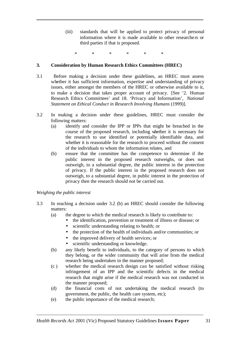(iii) standards that will be applied to protect privacy of personal information where it is made available to other researche rs or third parties if that is proposed.

\* \* \* \* \* \*

#### **3. Consideration by Human Research Ethics Committees (HREC)**

- 3.1 Before making a decision under these guidelines, an HREC must assess whether it has sufficient information, expertise and understanding of privacy issues, either amongst the members of the HREC or otherwise available to it, to make a decision that takes proper account of privacy. [See '2. Human Research Ethics Committees' and 18. 'Privacy and Information', *National Statement on Ethical Conduct in Research Involving Humans* (1999)].
- 3.2 In making a decision under these guidelines, HREC must consider the following matters:
	- (a) identify and consider the IPP or IPPs that might be breached in the course of the proposed research, including whether it is necessary for the research to use identified or potentially identifiable data, and whether it is reasonable for the research to proceed without the consent of the individuals to whom the information relates, and
	- (b) ensure that the committee has the competence to determine if the public interest in the proposed research outweighs, or does not outweigh, to a substantial degree, the public interest in the protection of privacy. If the public interest in the proposed research does not outweigh, to a substantial degree, in public interest in the protection of privacy then the research should not be carried out.

#### *Weighing the public interest*

- 3.3 In reaching a decision under 3.2 (b) an HREC should consider the following matters:
	- (a) the degree to which the medical research is likely to contribute to:
		- the identification, prevention or treatment of illness or disease; or
			- scientific understanding relating to health; or
			- the protection of the health of individuals and/or communities; or
			- the improved delivery of health services; or
			- scientific understanding or knowledge.
	- (b) any likely benefit to individuals, to the category of persons to which they belong, or the wider community that will arise from the medical research being undertaken in the manner proposed;
	- (c ) whether the medical research design can be satisfied without risking infringement of an IPP and the scientific defects in the medical research that might arise if the medical research was not conducted in the manner proposed;
	- (d) the financial costs of not undertaking the medical research (to government, the public, the health care system, etc);
	- (e) the public importance of the medical research;